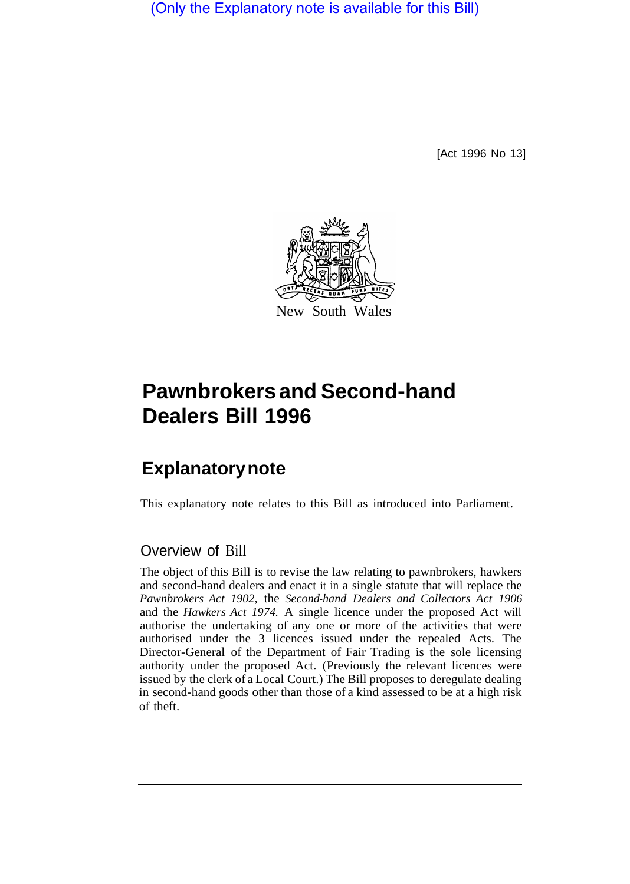(Only the Explanatory note is available for this Bill)

[Act 1996 No 13]



# **Pawnbrokers and Second-hand Dealers Bill 1996**

## **Explanatory note**

This explanatory note relates to this Bill as introduced into Parliament.

### Overview of Bill

The object of this Bill is to revise the law relating to pawnbrokers, hawkers and second-hand dealers and enact it in a single statute that will replace the *Pawnbrokers Act 1902,* the *Second-hand Dealers and Collectors Act 1906*  and the *Hawkers Act 1974.* A single licence under the proposed Act will authorise the undertaking of any one or more of the activities that were authorised under the 3 licences issued under the repealed Acts. The Director-General of the Department of Fair Trading is the sole licensing authority under the proposed Act. (Previously the relevant licences were issued by the clerk of a Local Court.) The Bill proposes to deregulate dealing in second-hand goods other than those of a kind assessed to be at a high risk of theft.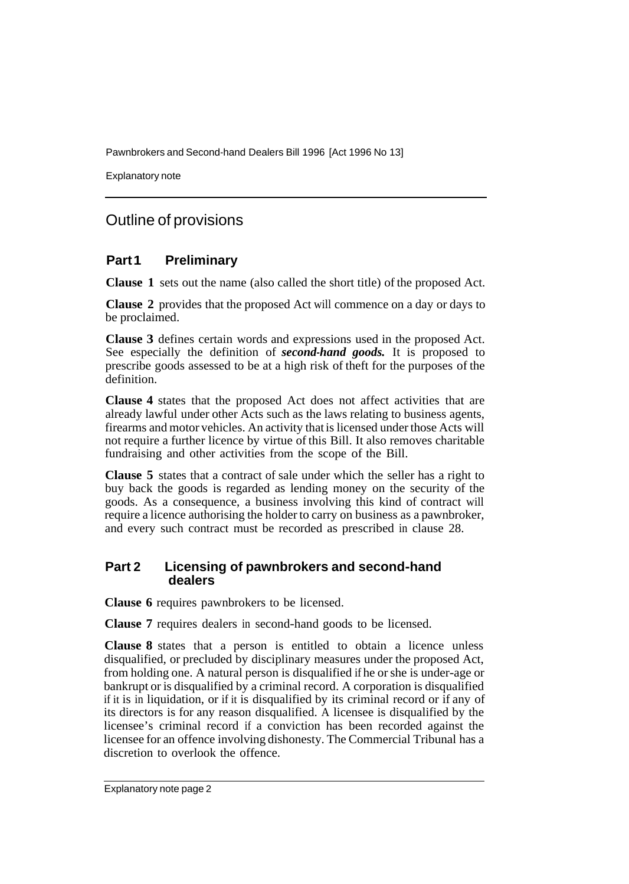Explanatory note

### Outline of provisions

#### **Part 1 Preliminary**

**Clause 1** sets out the name (also called the short title) of the proposed Act.

**Clause 2** provides that the proposed Act will commence on a day or days to be proclaimed.

**Clause 3** defines certain words and expressions used in the proposed Act. See especially the definition of *second-hand goods.* It is proposed to prescribe goods assessed to be at a high risk of theft for the purposes of the definition.

**Clause 4** states that the proposed Act does not affect activities that are already lawful under other Acts such as the laws relating to business agents, firearms and motor vehicles. An activity that is licensed under those Acts will not require a further licence by virtue of this Bill. It also removes charitable fundraising and other activities from the scope of the Bill.

**Clause 5** states that a contract of sale under which the seller has a right to buy back the goods is regarded as lending money on the security of the goods. As a consequence, a business involving this kind of contract will require a licence authorising the holder to carry on business as a pawnbroker, and every such contract must be recorded as prescribed in clause 28.

#### **Part 2 Licensing of pawnbrokers and second-hand dealers**

**Clause 6** requires pawnbrokers to be licensed.

**Clause 7** requires dealers in second-hand goods to be licensed.

**Clause 8** states that a person is entitled to obtain a licence unless disqualified, or precluded by disciplinary measures under the proposed Act, from holding one. A natural person is disqualified if he or she is under-age or bankrupt or is disqualified by a criminal record. A corporation is disqualified if it is in liquidation, or if it is disqualified by its criminal record or if any of its directors is for any reason disqualified. A licensee is disqualified by the licensee's criminal record if a conviction has been recorded against the licensee for an offence involving dishonesty. The Commercial Tribunal has a discretion to overlook the offence.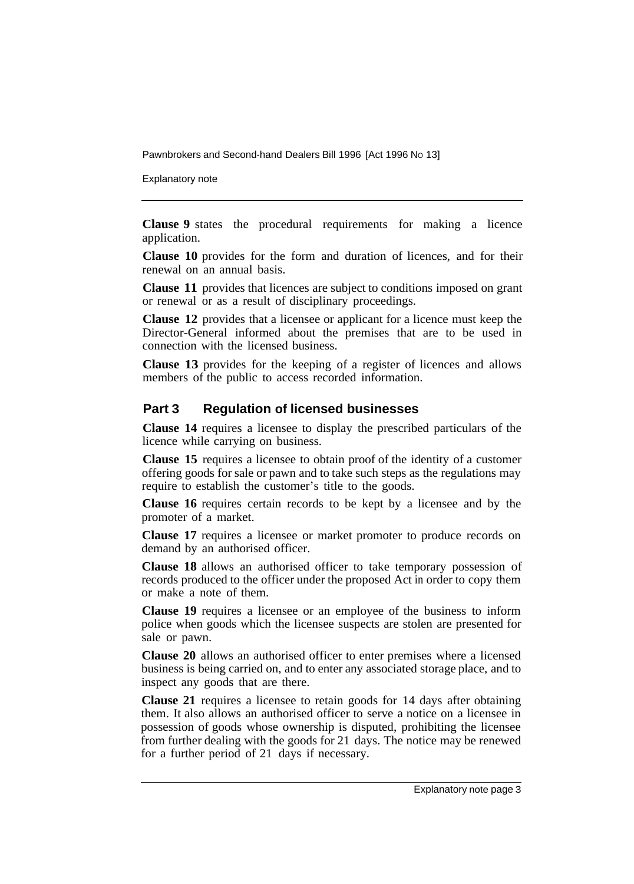Explanatory note

**Clause 9** states the procedural requirements for making a licence application.

**Clause 10** provides for the form and duration of licences, and for their renewal on an annual basis.

**Clause 11** provides that licences are subject to conditions imposed on grant or renewal or as a result of disciplinary proceedings.

**Clause 12** provides that a licensee or applicant for a licence must keep the Director-General informed about the premises that are to be used in connection with the licensed business.

**Clause 13** provides for the keeping of a register of licences and allows members of the public to access recorded information.

#### **Part 3 Regulation of licensed businesses**

**Clause 14** requires a licensee to display the prescribed particulars of the licence while carrying on business.

**Clause 15** requires a licensee to obtain proof of the identity of a customer offering goods for sale or pawn and to take such steps as the regulations may require to establish the customer's title to the goods.

**Clause 16** requires certain records to be kept by a licensee and by the promoter of a market.

**Clause 17** requires a licensee or market promoter to produce records on demand by an authorised officer.

**Clause 18** allows an authorised officer to take temporary possession of records produced to the officer under the proposed Act in order to copy them or make a note of them.

**Clause 19** requires a licensee or an employee of the business to inform police when goods which the licensee suspects are stolen are presented for sale or pawn.

**Clause 20** allows an authorised officer to enter premises where a licensed business is being carried on, and to enter any associated storage place, and to inspect any goods that are there.

**Clause 21** requires a licensee to retain goods for 14 days after obtaining them. It also allows an authorised officer to serve a notice on a licensee in possession of goods whose ownership is disputed, prohibiting the licensee from further dealing with the goods for 21 days. The notice may be renewed for a further period of 21 days if necessary.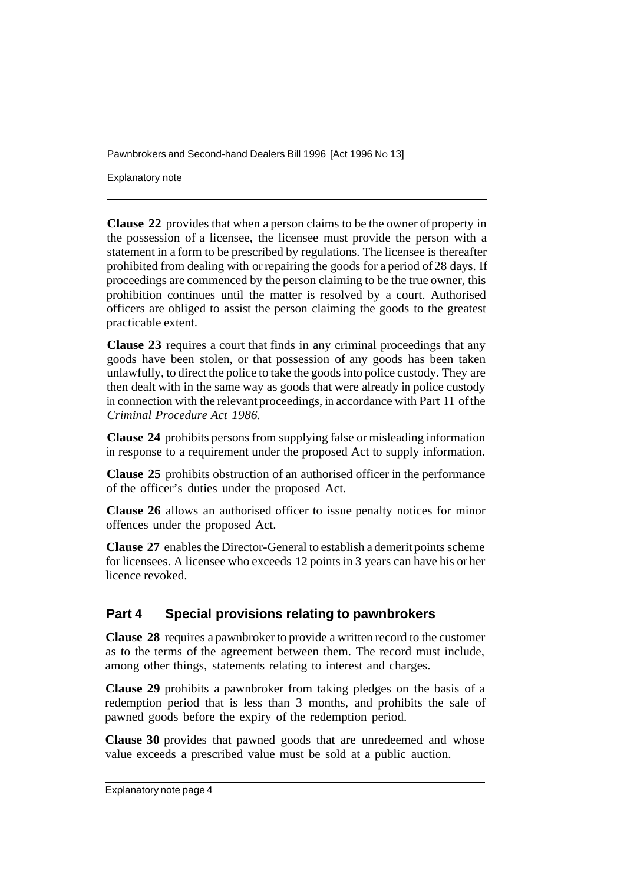Explanatory note

**Clause 22** provides that when a person claims to be the owner of property in the possession of a licensee, the licensee must provide the person with a statement in a form to be prescribed by regulations. The licensee is thereafter prohibited from dealing with or repairing the goods for a period of 28 days. If proceedings are commenced by the person claiming to be the true owner, this prohibition continues until the matter is resolved by a court. Authorised officers are obliged to assist the person claiming the goods to the greatest practicable extent.

**Clause 23** requires a court that finds in any criminal proceedings that any goods have been stolen, or that possession of any goods has been taken unlawfully, to direct the police to take the goods into police custody. They are then dealt with in the same way as goods that were already in police custody in connection with the relevant proceedings, in accordance with Part 11 of the *Criminal Procedure Act 1986.* 

**Clause 24** prohibits persons from supplying false or misleading information in response to a requirement under the proposed Act to supply information.

**Clause 25** prohibits obstruction of an authorised officer in the performance of the officer's duties under the proposed Act.

**Clause 26** allows an authorised officer to issue penalty notices for minor offences under the proposed Act.

**Clause 27** enables the Director-General to establish a demerit points scheme for licensees. A licensee who exceeds 12 points in 3 years can have his or her licence revoked.

#### **Part 4 Special provisions relating to pawnbrokers**

**Clause 28** requires a pawnbroker to provide a written record to the customer as to the terms of the agreement between them. The record must include, among other things, statements relating to interest and charges.

**Clause 29** prohibits a pawnbroker from taking pledges on the basis of a redemption period that is less than 3 months, and prohibits the sale of pawned goods before the expiry of the redemption period.

**Clause 30** provides that pawned goods that are unredeemed and whose value exceeds a prescribed value must be sold at a public auction.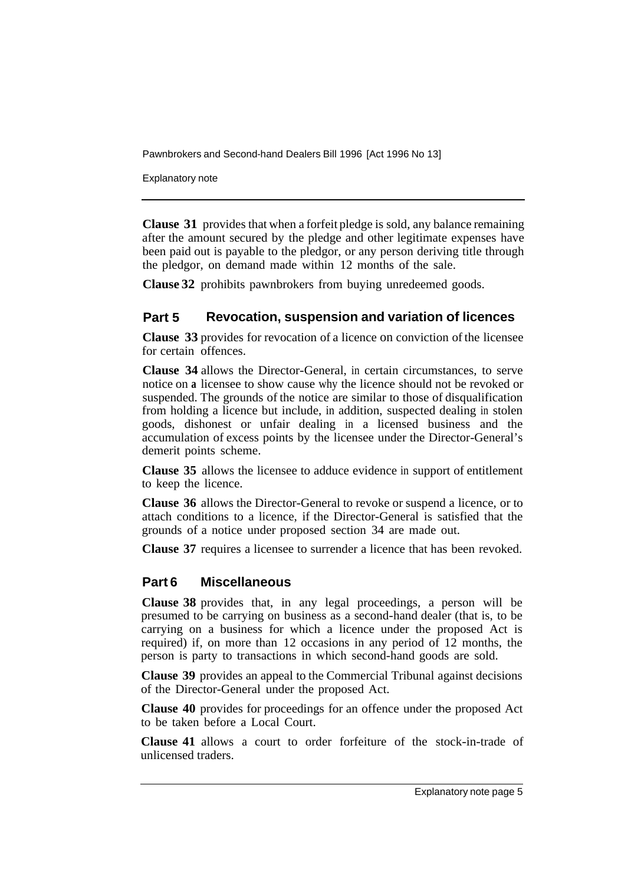Explanatory note

**Clause 31** provides that when a forfeit pledge is sold, any balance remaining after the amount secured by the pledge and other legitimate expenses have been paid out is payable to the pledgor, or any person deriving title through the pledgor, on demand made within 12 months of the sale.

**Clause 32**  prohibits pawnbrokers from buying unredeemed goods.

#### **Part 5 Revocation, suspension and variation of licences**

**Clause 33**  provides for revocation of a licence on conviction of the licensee for certain offences.

**Clause 34**  allows the Director-General, in certain circumstances, to serve notice on **a**  licensee to show cause why the licence should not be revoked or suspended. The grounds of the notice are similar to those of disqualification from holding a licence but include, in addition, suspected dealing in stolen goods, dishonest or unfair dealing in a licensed business and the accumulation of excess points by the licensee under the Director-General's demerit points scheme.

**Clause 35** allows the licensee to adduce evidence in support of entitlement to keep the licence.

**Clause 36** allows the Director-General to revoke or suspend a licence, or to attach conditions to a licence, if the Director-General is satisfied that the grounds of a notice under proposed section 34 are made out.

**Clause 37** requires a licensee to surrender a licence that has been revoked.

#### **Part 6 Miscellaneous**

**Clause 38** provides that, in any legal proceedings, a person will be presumed to be carrying on business as a second-hand dealer (that is, to be carrying on a business for which a licence under the proposed Act is required) if, on more than 12 occasions in any period of 12 months, the person is party to transactions in which second-hand goods are sold.

**Clause 39** provides an appeal to the Commercial Tribunal against decisions of the Director-General under the proposed Act.

**Clause 40** provides for proceedings for an offence under the proposed Act to be taken before a Local Court.

**Clause 41** allows a court to order forfeiture of the stock-in-trade of unlicensed traders.